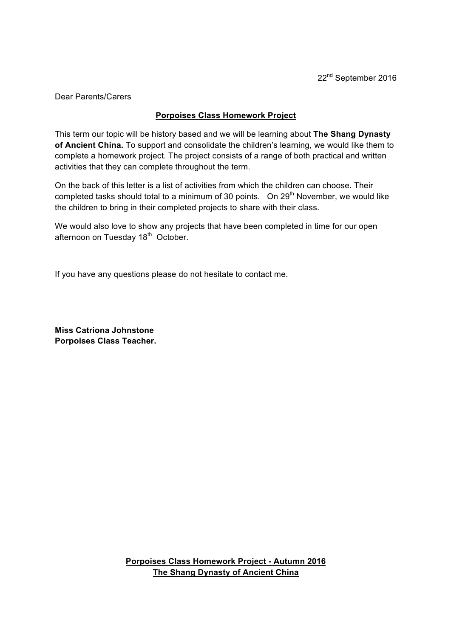Dear Parents/Carers

## **Porpoises Class Homework Project**

This term our topic will be history based and we will be learning about **The Shang Dynasty of Ancient China.** To support and consolidate the children's learning, we would like them to complete a homework project. The project consists of a range of both practical and written activities that they can complete throughout the term.

On the back of this letter is a list of activities from which the children can choose. Their completed tasks should total to a minimum of 30 points. On  $29<sup>th</sup>$  November, we would like the children to bring in their completed projects to share with their class.

We would also love to show any projects that have been completed in time for our open afternoon on Tuesday 18<sup>th</sup> October.

If you have any questions please do not hesitate to contact me.

**Miss Catriona Johnstone Porpoises Class Teacher.**

> **Porpoises Class Homework Project - Autumn 2016 The Shang Dynasty of Ancient China**